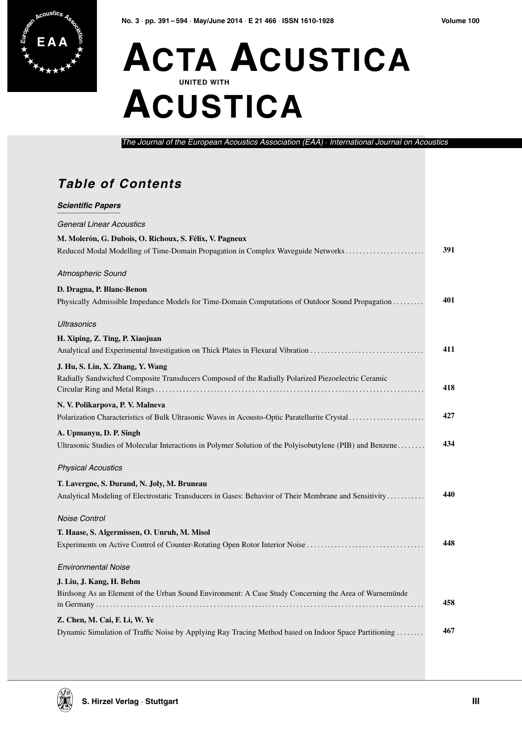## **E A A ACTA ACUSTICA UNITED WITH ACUSTICA**

*The Journal of the European Acoustics Association (EAA)* · *International Journal on Acoustics*

## **Table of Contents**

| <b>Scientific Papers</b>                                                                                  |     |
|-----------------------------------------------------------------------------------------------------------|-----|
| <b>General Linear Acoustics</b>                                                                           |     |
| M. Molerón, G. Dubois, O. Richoux, S. Félix, V. Pagneux                                                   |     |
| Reduced Modal Modelling of Time-Domain Propagation in Complex Waveguide Networks                          | 391 |
| Atmospheric Sound                                                                                         |     |
| D. Dragna, P. Blanc-Benon                                                                                 |     |
| Physically Admissible Impedance Models for Time-Domain Computations of Outdoor Sound Propagation          | 401 |
| Ultrasonics                                                                                               |     |
| H. Xiping, Z. Ting, P. Xiaojuan                                                                           |     |
| Analytical and Experimental Investigation on Thick Plates in Flexural Vibration                           | 411 |
| J. Hu, S. Lin, X. Zhang, Y. Wang                                                                          |     |
| Radially Sandwiched Composite Transducers Composed of the Radially Polarized Piezoelectric Ceramic        | 418 |
| N. V. Polikarpova, P. V. Malneva                                                                          |     |
| Polarization Characteristics of Bulk Ultrasonic Waves in Acousto-Optic Paratellurite Crystal              | 427 |
| A. Upmanyu, D. P. Singh                                                                                   |     |
| Ultrasonic Studies of Molecular Interactions in Polymer Solution of the Polyisobutylene (PIB) and Benzene | 434 |
| <b>Physical Acoustics</b>                                                                                 |     |
| T. Lavergne, S. Durand, N. Joly, M. Bruneau                                                               |     |
| Analytical Modeling of Electrostatic Transducers in Gases: Behavior of Their Membrane and Sensitivity     | 440 |
| <b>Noise Control</b>                                                                                      |     |
| T. Haase, S. Algermissen, O. Unruh, M. Misol                                                              |     |
| Experiments on Active Control of Counter-Rotating Open Rotor Interior Noise                               | 448 |
| <b>Environmental Noise</b>                                                                                |     |
| J. Liu, J. Kang, H. Behm                                                                                  |     |
| Birdsong As an Element of the Urban Sound Environment: A Case Study Concerning the Area of Warnemünde     | 458 |
| Z. Chen, M. Cai, F. Li, W. Ye                                                                             |     |
| Dynamic Simulation of Traffic Noise by Applying Ray Tracing Method based on Indoor Space Partitioning     | 467 |